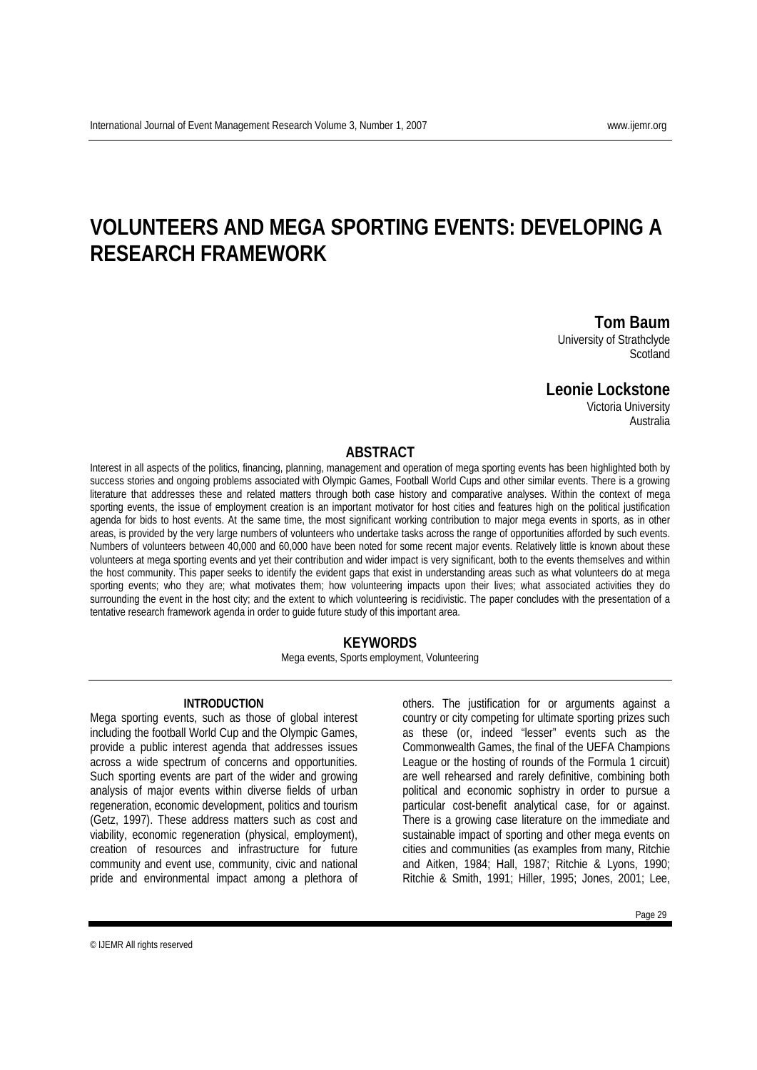# **VOLUNTEERS AND MEGA SPORTING EVENTS: DEVELOPING A**

# **RESEARCH FRAMEWORK**

**Tom Baum**<br>University of Strathclyde

**Scotland** 

## **Leonie Lockstone**

Victoria University Australia

#### **ABSTRACT**

Interest in all aspects of the politics, financing, planning, management and operation of mega sporting events has been highlighted both by success stories and ongoing problems associated with Olympic Games, Football World Cups and other similar events. There is a growing literature that addresses these and related matters through both case history and comparative analyses. Within the context of mega sporting events, the issue of employment creation is an important motivator for host cities and features high on the political justification agenda for bids to host events. At the same time, the most significant working contribution to major mega events in sports, as in other areas, is provided by the very large numbers of volunteers who undertake tasks across the range of opportunities afforded by such events. Numbers of volunteers between 40,000 and 60,000 have been noted for some recent major events. Relatively little is known about these volunteers at mega sporting events and yet their contribution and wider impact is very significant, both to the events themselves and within the host community. This paper seeks to identify the evident gaps that exist in understanding areas such as what volunteers do at mega sporting events; who they are; what motivates them; how volunteering impacts upon their lives; what associated activities they do surrounding the event in the host city; and the extent to which volunteering is recidivistic. The paper concludes with the presentation of a tentative research framework agenda in order to guide future study of this important area.

#### **KEYWORDS**

Mega events, Sports employment, Volunteering

#### **INTRODUCTION**

Mega sporting events, such as those of global interest including the football World Cup and the Olympic Games, provide a public interest agenda that addresses issues across a wide spectrum of concerns and opportunities. Such sporting events are part of the wider and growing analysis of major events within diverse fields of urban regeneration, economic development, politics and tourism (Getz, 1997). These address matters such as cost and viability, economic regeneration (physical, employment), creation of resources and infrastructure for future community and event use, community, civic and national pride and environmental impact among a plethora of

others. The justification for or arguments against a country or city competing for ultimate sporting prizes such as these (or, indeed "lesser" events such as the Commonwealth Games, the final of the UEFA Champions League or the hosting of rounds of the Formula 1 circuit) are well rehearsed and rarely definitive, combining both political and economic sophistry in order to pursue a particular cost-benefit analytical case, for or against. There is a growing case literature on the immediate and sustainable impact of sporting and other mega events on cities and communities (as examples from many, Ritchie and Aitken, 1984; Hall, 1987; Ritchie & Lyons, 1990; Ritchie & Smith, 1991; Hiller, 1995; Jones, 2001; Lee,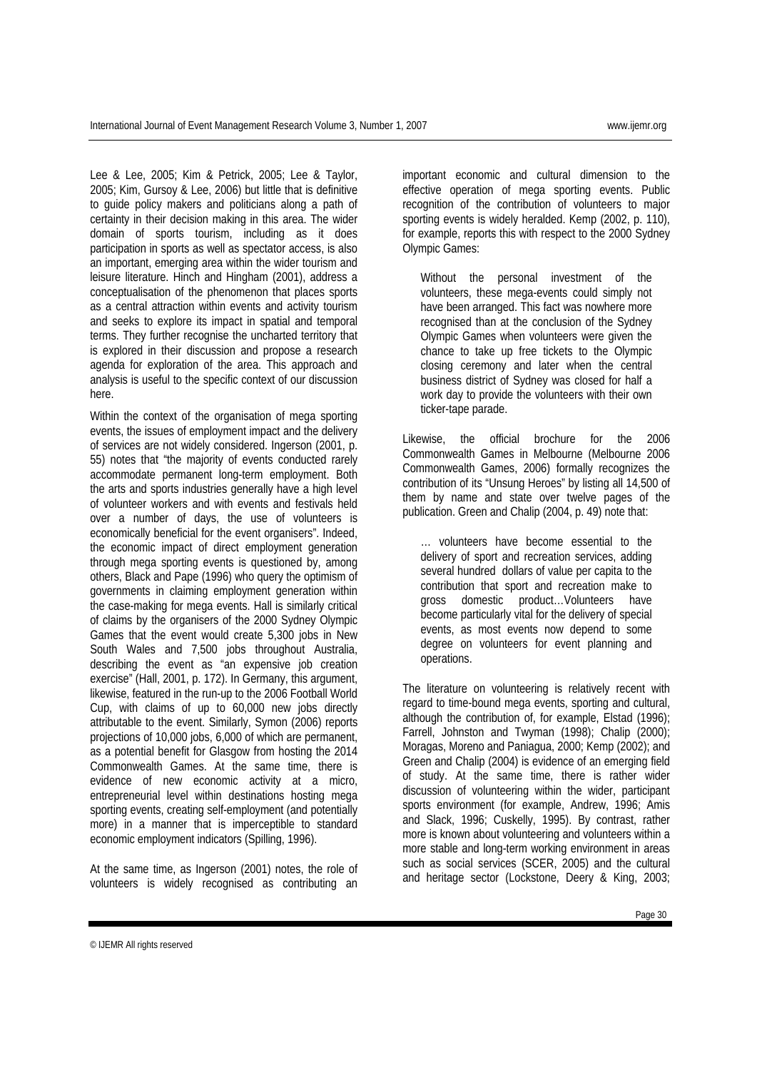Lee & Lee, 2005; Kim & Petrick, 2005; Lee & Taylor, 2005; Kim, Gursoy & Lee, 2006) but little that is definitive to guide policy makers and politicians along a path of certainty in their decision making in this area. The wider domain of sports tourism, including as it does participation in sports as well as spectator access, is also an important, emerging area within the wider tourism and leisure literature. Hinch and Hingham (2001), address a conceptualisation of the phenomenon that places sports as a central attraction within events and activity tourism and seeks to explore its impact in spatial and temporal terms. They further recognise the uncharted territory that is explored in their discussion and propose a research agenda for exploration of the area. This approach and analysis is useful to the specific context of our discussion here.

Within the context of the organisation of mega sporting events, the issues of employment impact and the delivery of services are not widely considered. Ingerson (2001, p. 55) notes that "the majority of events conducted rarely accommodate permanent long-term employment. Both the arts and sports industries generally have a high level of volunteer workers and with events and festivals held over a number of days, the use of volunteers is economically beneficial for the event organisers". Indeed, the economic impact of direct employment generation through mega sporting events is questioned by, among others, Black and Pape (1996) who query the optimism of governments in claiming employment generation within the case-making for mega events. Hall is similarly critical of claims by the organisers of the 2000 Sydney Olympic Games that the event would create 5,300 jobs in New South Wales and 7,500 jobs throughout Australia, describing the event as "an expensive job creation exercise" (Hall, 2001, p. 172). In Germany, this argument, likewise, featured in the run-up to the 2006 Football World Cup, with claims of up to 60,000 new jobs directly attributable to the event. Similarly, Symon (2006) reports projections of 10,000 jobs, 6,000 of which are permanent, as a potential benefit for Glasgow from hosting the 2014 Commonwealth Games. At the same time, there is evidence of new economic activity at a micro, entrepreneurial level within destinations hosting mega sporting events, creating self-employment (and potentially more) in a manner that is imperceptible to standard economic employment indicators (Spilling, 1996).

At the same time, as Ingerson (2001) notes, the role of volunteers is widely recognised as contributing an important economic and cultural dimension to the effective operation of mega sporting events. Public recognition of the contribution of volunteers to major sporting events is widely heralded. Kemp (2002, p. 110), for example, reports this with respect to the 2000 Sydney Olympic Games:

Without the personal investment of the volunteers, these mega-events could simply not have been arranged. This fact was nowhere more recognised than at the conclusion of the Sydney Olympic Games when volunteers were given the chance to take up free tickets to the Olympic closing ceremony and later when the central business district of Sydney was closed for half a work day to provide the volunteers with their own ticker-tape parade.

Likewise, the official brochure for the 2006 Commonwealth Games in Melbourne (Melbourne 2006 Commonwealth Games, 2006) formally recognizes the contribution of its "Unsung Heroes" by listing all 14,500 of them by name and state over twelve pages of the publication. Green and Chalip (2004, p. 49) note that:

… volunteers have become essential to the delivery of sport and recreation services, adding several hundred dollars of value per capita to the contribution that sport and recreation make to gross domestic product…Volunteers have become particularly vital for the delivery of special events, as most events now depend to some degree on volunteers for event planning and operations.

The literature on volunteering is relatively recent with regard to time-bound mega events, sporting and cultural, although the contribution of, for example, Elstad (1996); Farrell, Johnston and Twyman (1998); Chalip (2000); Moragas, Moreno and Paniagua, 2000; Kemp (2002); and Green and Chalip (2004) is evidence of an emerging field of study. At the same time, there is rather wider discussion of volunteering within the wider, participant sports environment (for example, Andrew, 1996; Amis and Slack, 1996; Cuskelly, 1995). By contrast, rather more is known about volunteering and volunteers within a more stable and long-term working environment in areas such as social services (SCER, 2005) and the cultural and heritage sector (Lockstone, Deery & King, 2003;

Page 30

<sup>©</sup> IJEMR All rights reserved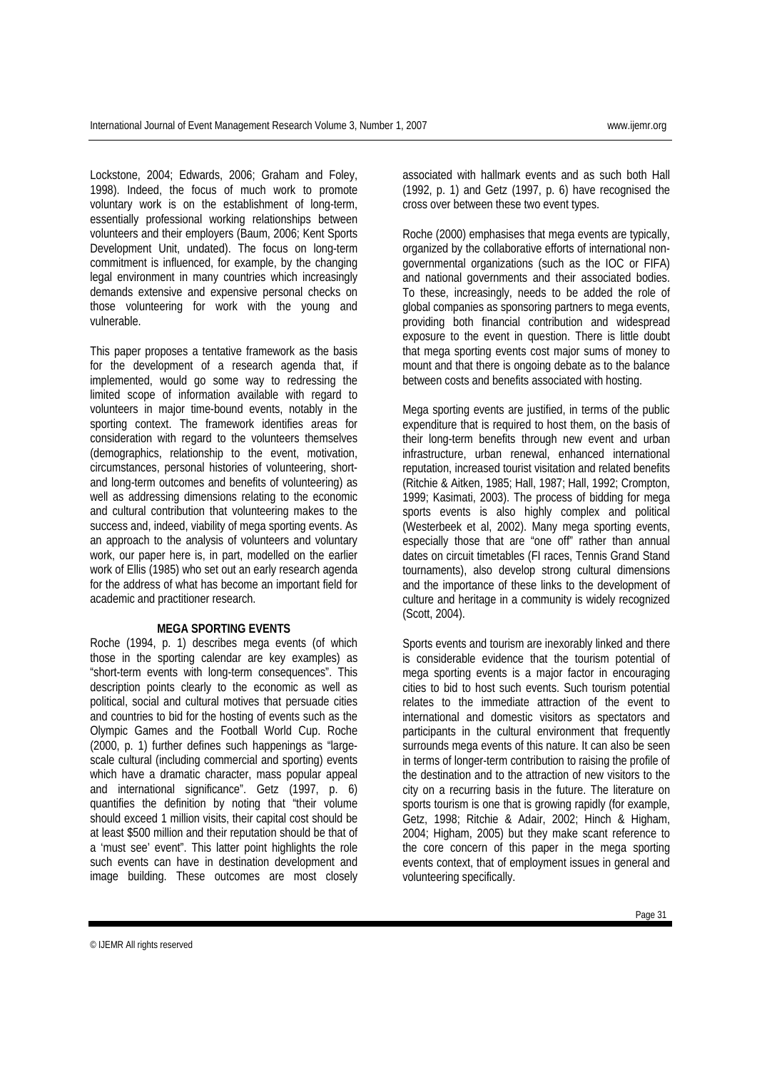Lockstone, 2004; Edwards, 2006; Graham and Foley, 1998). Indeed, the focus of much work to promote voluntary work is on the establishment of long-term, essentially professional working relationships between volunteers and their employers (Baum, 2006; Kent Sports Development Unit, undated). The focus on long-term commitment is influenced, for example, by the changing legal environment in many countries which increasingly demands extensive and expensive personal checks on those volunteering for work with the young and vulnerable.

This paper proposes a tentative framework as the basis for the development of a research agenda that, if implemented, would go some way to redressing the limited scope of information available with regard to volunteers in major time-bound events, notably in the sporting context. The framework identifies areas for consideration with regard to the volunteers themselves (demographics, relationship to the event, motivation, circumstances, personal histories of volunteering, shortand long-term outcomes and benefits of volunteering) as well as addressing dimensions relating to the economic and cultural contribution that volunteering makes to the success and, indeed, viability of mega sporting events. As an approach to the analysis of volunteers and voluntary work, our paper here is, in part, modelled on the earlier work of Ellis (1985) who set out an early research agenda for the address of what has become an important field for academic and practitioner research.

### **MEGA SPORTING EVENTS**

Roche (1994, p. 1) describes mega events (of which those in the sporting calendar are key examples) as "short-term events with long-term consequences". This description points clearly to the economic as well as political, social and cultural motives that persuade cities and countries to bid for the hosting of events such as the Olympic Games and the Football World Cup. Roche (2000, p. 1) further defines such happenings as "largescale cultural (including commercial and sporting) events which have a dramatic character, mass popular appeal and international significance". Getz (1997, p. 6) quantifies the definition by noting that "their volume should exceed 1 million visits, their capital cost should be at least \$500 million and their reputation should be that of a 'must see' event". This latter point highlights the role such events can have in destination development and image building. These outcomes are most closely

associated with hallmark events and as such both Hall (1992, p. 1) and Getz (1997, p. 6) have recognised the cross over between these two event types.

Roche (2000) emphasises that mega events are typically, organized by the collaborative efforts of international nongovernmental organizations (such as the IOC or FIFA) and national governments and their associated bodies. To these, increasingly, needs to be added the role of global companies as sponsoring partners to mega events, providing both financial contribution and widespread exposure to the event in question. There is little doubt that mega sporting events cost major sums of money to mount and that there is ongoing debate as to the balance between costs and benefits associated with hosting.

Mega sporting events are justified, in terms of the public expenditure that is required to host them, on the basis of their long-term benefits through new event and urban infrastructure, urban renewal, enhanced international reputation, increased tourist visitation and related benefits (Ritchie & Aitken, 1985; Hall, 1987; Hall, 1992; Crompton, 1999; Kasimati, 2003). The process of bidding for mega sports events is also highly complex and political (Westerbeek et al, 2002). Many mega sporting events, especially those that are "one off" rather than annual dates on circuit timetables (FI races, Tennis Grand Stand tournaments), also develop strong cultural dimensions and the importance of these links to the development of culture and heritage in a community is widely recognized (Scott, 2004).

Sports events and tourism are inexorably linked and there is considerable evidence that the tourism potential of mega sporting events is a major factor in encouraging cities to bid to host such events. Such tourism potential relates to the immediate attraction of the event to international and domestic visitors as spectators and participants in the cultural environment that frequently surrounds mega events of this nature. It can also be seen in terms of longer-term contribution to raising the profile of the destination and to the attraction of new visitors to the city on a recurring basis in the future. The literature on sports tourism is one that is growing rapidly (for example, Getz, 1998; Ritchie & Adair, 2002; Hinch & Higham, 2004; Higham, 2005) but they make scant reference to the core concern of this paper in the mega sporting events context, that of employment issues in general and volunteering specifically.

© IJEMR All rights reserved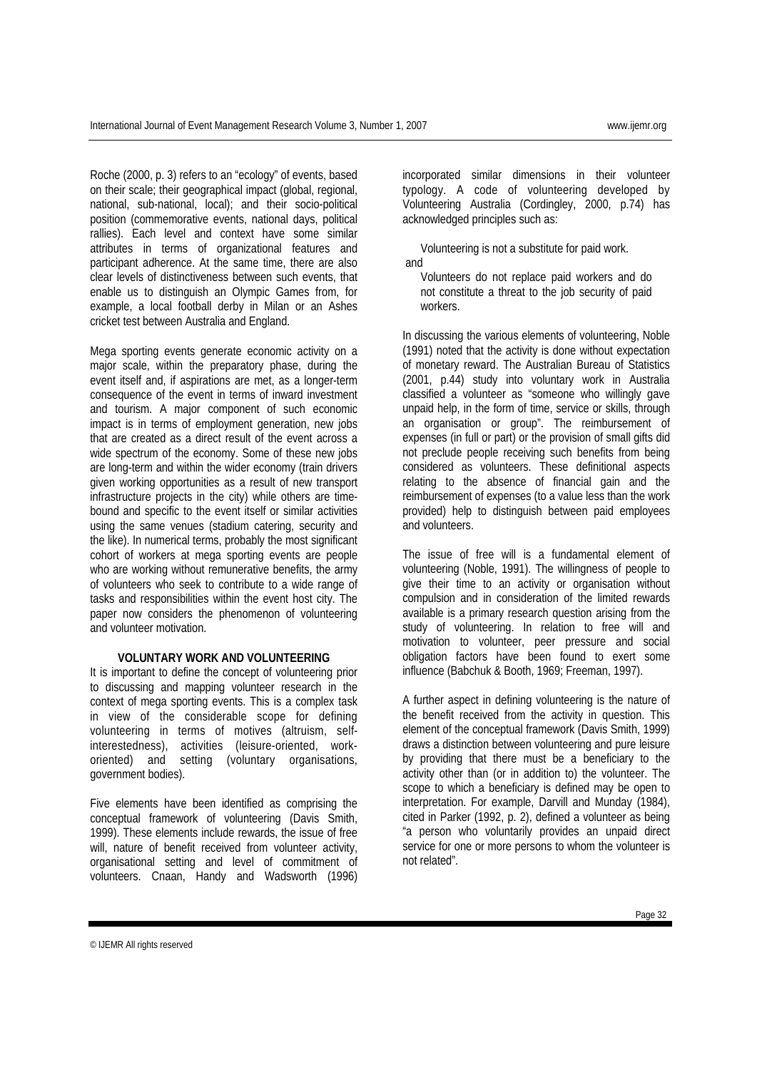Roche (2000, p. 3) refers to an "ecology" of events, based on their scale; their geographical impact (global, regional, national, sub-national, local); and their socio-political position (commemorative events, national days, political rallies). Each level and context have some similar attributes in terms of organizational features and participant adherence. At the same time, there are also clear levels of distinctiveness between such events, that enable us to distinguish an Olympic Games from, for example, a local football derby in Milan or an Ashes cricket test between Australia and England.

Mega sporting events generate economic activity on a major scale, within the preparatory phase, during the event itself and, if aspirations are met, as a longer-term consequence of the event in terms of inward investment and tourism. A major component of such economic impact is in terms of employment generation, new jobs that are created as a direct result of the event across a wide spectrum of the economy. Some of these new jobs are long-term and within the wider economy (train drivers given working opportunities as a result of new transport infrastructure projects in the city) while others are timebound and specific to the event itself or similar activities using the same venues (stadium catering, security and the like). In numerical terms, probably the most significant cohort of workers at mega sporting events are people who are working without remunerative benefits, the army of volunteers who seek to contribute to a wide range of tasks and responsibilities within the event host city. The paper now considers the phenomenon of volunteering and volunteer motivation.

#### **VOLUNTARY WORK AND VOLUNTEERING**

It is important to define the concept of volunteering prior to discussing and mapping volunteer research in the context of mega sporting events. This is a complex task in view of the considerable scope for defining volunteering in terms of motives (altruism, selfinterestedness), activities (leisure-oriented, workoriented) and setting (voluntary organisations, government bodies).

Five elements have been identified as comprising the conceptual framework of volunteering (Davis Smith, 1999). These elements include rewards, the issue of free will, nature of benefit received from volunteer activity, organisational setting and level of commitment of volunteers. Cnaan, Handy and Wadsworth (1996)

incorporated similar dimensions in their volunteer typology. A code of volunteering developed by Volunteering Australia (Cordingley, 2000, p.74) has acknowledged principles such as:

Volunteering is not a substitute for paid work. and

Volunteers do not replace paid workers and do not constitute a threat to the job security of paid workers.

In discussing the various elements of volunteering, Noble (1991) noted that the activity is done without expectation of monetary reward. The Australian Bureau of Statistics (2001, p.44) study into voluntary work in Australia classified a volunteer as "someone who willingly gave unpaid help, in the form of time, service or skills, through an organisation or group". The reimbursement of expenses (in full or part) or the provision of small gifts did not preclude people receiving such benefits from being considered as volunteers. These definitional aspects relating to the absence of financial gain and the reimbursement of expenses (to a value less than the work provided) help to distinguish between paid employees and volunteers.

The issue of free will is a fundamental element of volunteering (Noble, 1991). The willingness of people to give their time to an activity or organisation without compulsion and in consideration of the limited rewards available is a primary research question arising from the study of volunteering. In relation to free will and motivation to volunteer, peer pressure and social obligation factors have been found to exert some influence (Babchuk & Booth, 1969; Freeman, 1997).

A further aspect in defining volunteering is the nature of the benefit received from the activity in question. This element of the conceptual framework (Davis Smith, 1999) draws a distinction between volunteering and pure leisure by providing that there must be a beneficiary to the activity other than (or in addition to) the volunteer. The scope to which a beneficiary is defined may be open to interpretation. For example, Darvill and Munday (1984), cited in Parker (1992, p. 2), defined a volunteer as being "a person who voluntarily provides an unpaid direct service for one or more persons to whom the volunteer is not related".

<sup>©</sup> IJEMR All rights reserved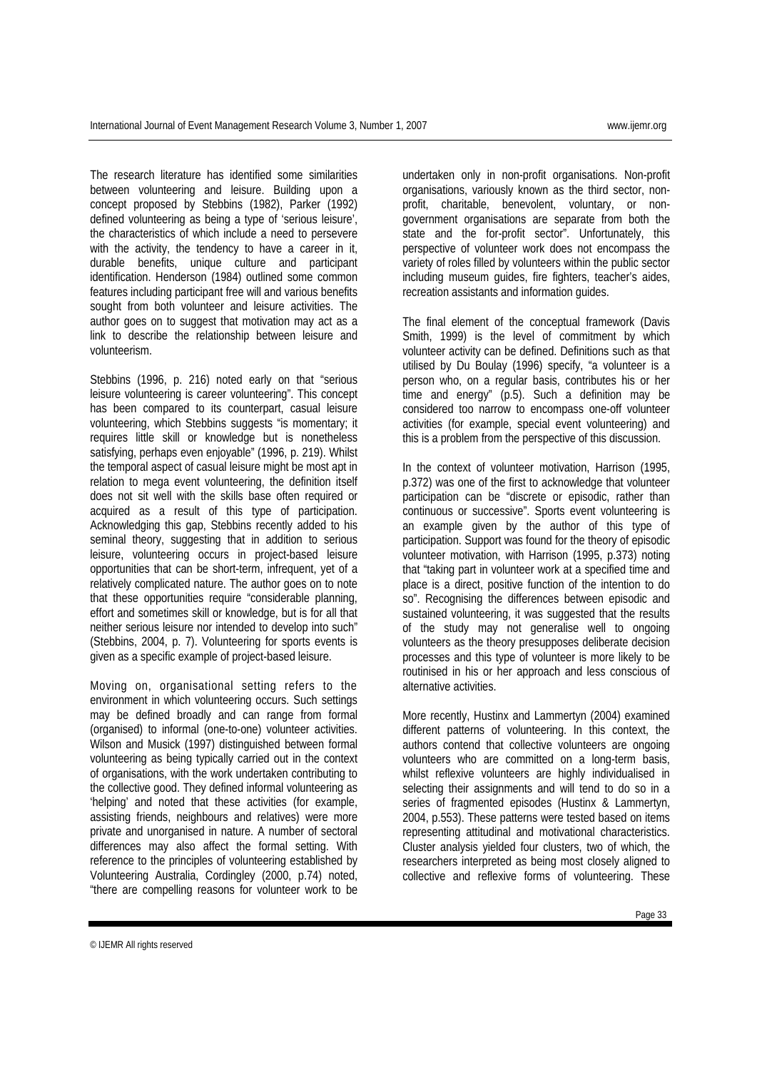The research literature has identified some similarities between volunteering and leisure. Building upon a concept proposed by Stebbins (1982), Parker (1992) defined volunteering as being a type of 'serious leisure', the characteristics of which include a need to persevere with the activity, the tendency to have a career in it, durable benefits, unique culture and participant identification. Henderson (1984) outlined some common features including participant free will and various benefits sought from both volunteer and leisure activities. The author goes on to suggest that motivation may act as a link to describe the relationship between leisure and volunteerism.

Stebbins (1996, p. 216) noted early on that "serious leisure volunteering is career volunteering". This concept has been compared to its counterpart, casual leisure volunteering, which Stebbins suggests "is momentary; it requires little skill or knowledge but is nonetheless satisfying, perhaps even enjoyable" (1996, p. 219). Whilst the temporal aspect of casual leisure might be most apt in relation to mega event volunteering, the definition itself does not sit well with the skills base often required or acquired as a result of this type of participation. Acknowledging this gap, Stebbins recently added to his seminal theory, suggesting that in addition to serious leisure, volunteering occurs in project-based leisure opportunities that can be short-term, infrequent, yet of a relatively complicated nature. The author goes on to note that these opportunities require "considerable planning, effort and sometimes skill or knowledge, but is for all that neither serious leisure nor intended to develop into such" (Stebbins, 2004, p. 7). Volunteering for sports events is given as a specific example of project-based leisure.

Moving on, organisational setting refers to the environment in which volunteering occurs. Such settings may be defined broadly and can range from formal (organised) to informal (one-to-one) volunteer activities. Wilson and Musick (1997) distinguished between formal volunteering as being typically carried out in the context of organisations, with the work undertaken contributing to the collective good. They defined informal volunteering as 'helping' and noted that these activities (for example, assisting friends, neighbours and relatives) were more private and unorganised in nature. A number of sectoral differences may also affect the formal setting. With reference to the principles of volunteering established by Volunteering Australia, Cordingley (2000, p.74) noted, "there are compelling reasons for volunteer work to be

undertaken only in non-profit organisations. Non-profit organisations, variously known as the third sector, nonprofit, charitable, benevolent, voluntary, or nongovernment organisations are separate from both the state and the for-profit sector". Unfortunately, this perspective of volunteer work does not encompass the variety of roles filled by volunteers within the public sector including museum guides, fire fighters, teacher's aides, recreation assistants and information guides.

The final element of the conceptual framework (Davis Smith, 1999) is the level of commitment by which volunteer activity can be defined. Definitions such as that utilised by Du Boulay (1996) specify, "a volunteer is a person who, on a regular basis, contributes his or her time and energy" (p.5). Such a definition may be considered too narrow to encompass one-off volunteer activities (for example, special event volunteering) and this is a problem from the perspective of this discussion.

In the context of volunteer motivation, Harrison (1995, p.372) was one of the first to acknowledge that volunteer participation can be "discrete or episodic, rather than continuous or successive". Sports event volunteering is an example given by the author of this type of participation. Support was found for the theory of episodic volunteer motivation, with Harrison (1995, p.373) noting that "taking part in volunteer work at a specified time and place is a direct, positive function of the intention to do so". Recognising the differences between episodic and sustained volunteering, it was suggested that the results of the study may not generalise well to ongoing volunteers as the theory presupposes deliberate decision processes and this type of volunteer is more likely to be routinised in his or her approach and less conscious of alternative activities.

More recently, Hustinx and Lammertyn (2004) examined different patterns of volunteering. In this context, the authors contend that collective volunteers are ongoing volunteers who are committed on a long-term basis, whilst reflexive volunteers are highly individualised in selecting their assignments and will tend to do so in a series of fragmented episodes (Hustinx & Lammertyn, 2004, p.553). These patterns were tested based on items representing attitudinal and motivational characteristics. Cluster analysis yielded four clusters, two of which, the researchers interpreted as being most closely aligned to collective and reflexive forms of volunteering. These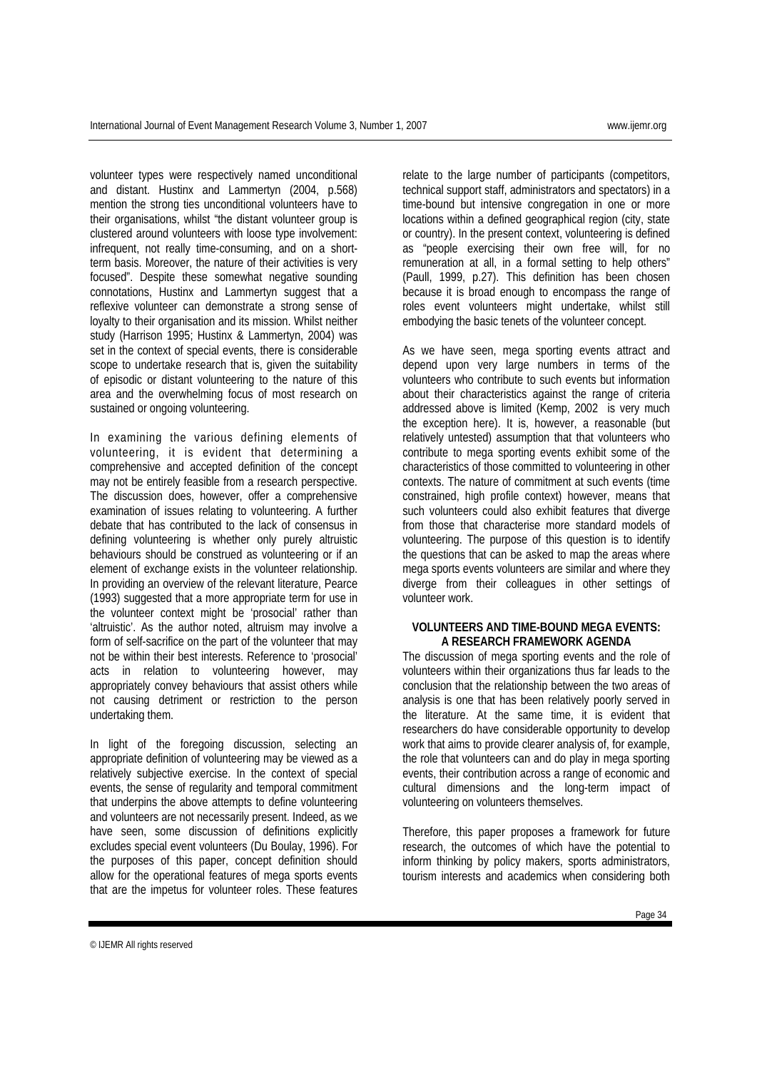volunteer types were respectively named unconditional and distant. Hustinx and Lammertyn (2004, p.568) mention the strong ties unconditional volunteers have to their organisations, whilst "the distant volunteer group is clustered around volunteers with loose type involvement: infrequent, not really time-consuming, and on a shortterm basis. Moreover, the nature of their activities is very focused". Despite these somewhat negative sounding connotations, Hustinx and Lammertyn suggest that a reflexive volunteer can demonstrate a strong sense of loyalty to their organisation and its mission. Whilst neither study (Harrison 1995; Hustinx & Lammertyn, 2004) was set in the context of special events, there is considerable scope to undertake research that is, given the suitability of episodic or distant volunteering to the nature of this area and the overwhelming focus of most research on sustained or ongoing volunteering.

In examining the various defining elements of volunteering, it is evident that determining a comprehensive and accepted definition of the concept may not be entirely feasible from a research perspective. The discussion does, however, offer a comprehensive examination of issues relating to volunteering. A further debate that has contributed to the lack of consensus in defining volunteering is whether only purely altruistic behaviours should be construed as volunteering or if an element of exchange exists in the volunteer relationship. In providing an overview of the relevant literature, Pearce (1993) suggested that a more appropriate term for use in the volunteer context might be 'prosocial' rather than 'altruistic'. As the author noted, altruism may involve a form of self-sacrifice on the part of the volunteer that may not be within their best interests. Reference to 'prosocial' acts in relation to volunteering however, may appropriately convey behaviours that assist others while not causing detriment or restriction to the person undertaking them.

In light of the foregoing discussion, selecting an appropriate definition of volunteering may be viewed as a relatively subjective exercise. In the context of special events, the sense of regularity and temporal commitment that underpins the above attempts to define volunteering and volunteers are not necessarily present. Indeed, as we have seen, some discussion of definitions explicitly excludes special event volunteers (Du Boulay, 1996). For the purposes of this paper, concept definition should allow for the operational features of mega sports events that are the impetus for volunteer roles. These features

relate to the large number of participants (competitors, technical support staff, administrators and spectators) in a time-bound but intensive congregation in one or more locations within a defined geographical region (city, state or country). In the present context, volunteering is defined as "people exercising their own free will, for no remuneration at all, in a formal setting to help others" (Paull, 1999, p.27). This definition has been chosen because it is broad enough to encompass the range of roles event volunteers might undertake, whilst still embodying the basic tenets of the volunteer concept.

As we have seen, mega sporting events attract and depend upon very large numbers in terms of the volunteers who contribute to such events but information about their characteristics against the range of criteria addressed above is limited (Kemp, 2002 is very much the exception here). It is, however, a reasonable (but relatively untested) assumption that that volunteers who contribute to mega sporting events exhibit some of the characteristics of those committed to volunteering in other contexts. The nature of commitment at such events (time constrained, high profile context) however, means that such volunteers could also exhibit features that diverge from those that characterise more standard models of volunteering. The purpose of this question is to identify the questions that can be asked to map the areas where mega sports events volunteers are similar and where they diverge from their colleagues in other settings of volunteer work.

#### **VOLUNTEERS AND TIME-BOUND MEGA EVENTS: A RESEARCH FRAMEWORK AGENDA**

The discussion of mega sporting events and the role of volunteers within their organizations thus far leads to the conclusion that the relationship between the two areas of analysis is one that has been relatively poorly served in the literature. At the same time, it is evident that researchers do have considerable opportunity to develop work that aims to provide clearer analysis of, for example, the role that volunteers can and do play in mega sporting events, their contribution across a range of economic and cultural dimensions and the long-term impact of volunteering on volunteers themselves.

Therefore, this paper proposes a framework for future research, the outcomes of which have the potential to inform thinking by policy makers, sports administrators, tourism interests and academics when considering both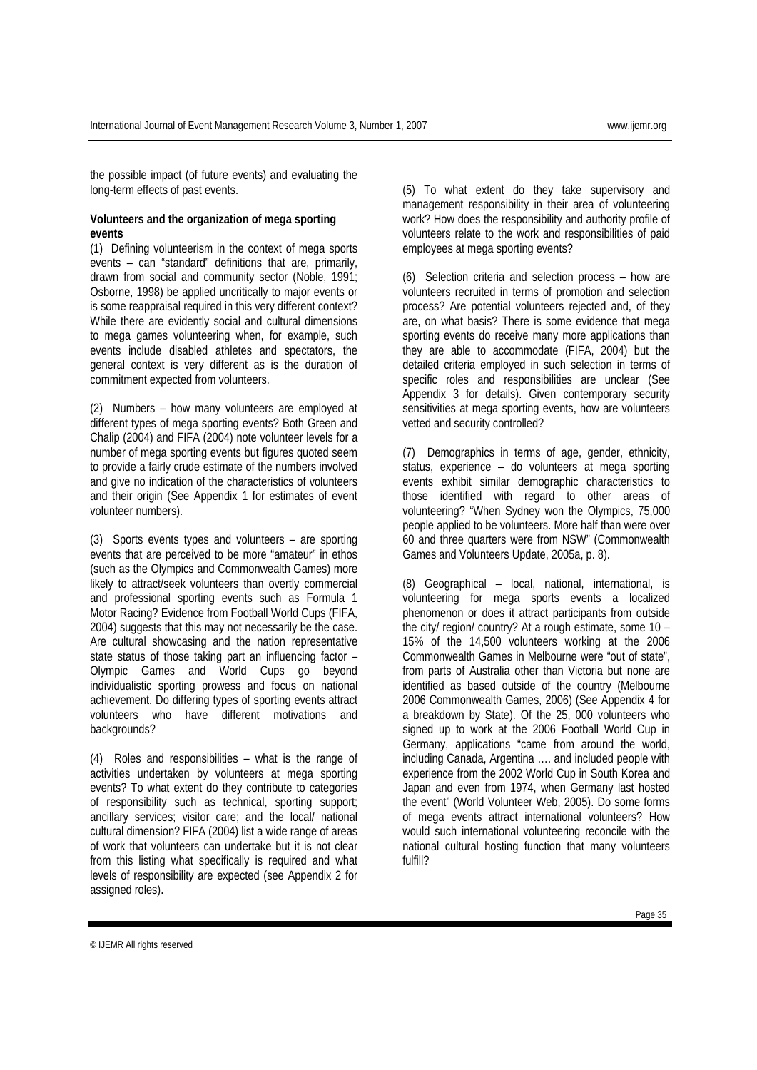the possible impact (of future events) and evaluating the long-term effects of past events.

#### **Volunteers and the organization of mega sporting events**

(1) Defining volunteerism in the context of mega sports events – can "standard" definitions that are, primarily, drawn from social and community sector (Noble, 1991; Osborne, 1998) be applied uncritically to major events or is some reappraisal required in this very different context? While there are evidently social and cultural dimensions to mega games volunteering when, for example, such events include disabled athletes and spectators, the general context is very different as is the duration of commitment expected from volunteers.

(2) Numbers – how many volunteers are employed at different types of mega sporting events? Both Green and Chalip (2004) and FIFA (2004) note volunteer levels for a number of mega sporting events but figures quoted seem to provide a fairly crude estimate of the numbers involved and give no indication of the characteristics of volunteers and their origin (See Appendix 1 for estimates of event volunteer numbers).

(3) Sports events types and volunteers – are sporting events that are perceived to be more "amateur" in ethos (such as the Olympics and Commonwealth Games) more likely to attract/seek volunteers than overtly commercial and professional sporting events such as Formula 1 Motor Racing? Evidence from Football World Cups (FIFA, 2004) suggests that this may not necessarily be the case. Are cultural showcasing and the nation representative state status of those taking part an influencing factor – Olympic Games and World Cups go beyond individualistic sporting prowess and focus on national achievement. Do differing types of sporting events attract volunteers who have different motivations and backgrounds?

(4) Roles and responsibilities – what is the range of activities undertaken by volunteers at mega sporting events? To what extent do they contribute to categories of responsibility such as technical, sporting support; ancillary services; visitor care; and the local/ national cultural dimension? FIFA (2004) list a wide range of areas of work that volunteers can undertake but it is not clear from this listing what specifically is required and what levels of responsibility are expected (see Appendix 2 for assigned roles).

(5) To what extent do they take supervisory and management responsibility in their area of volunteering work? How does the responsibility and authority profile of volunteers relate to the work and responsibilities of paid employees at mega sporting events?

(6) Selection criteria and selection process – how are volunteers recruited in terms of promotion and selection process? Are potential volunteers rejected and, of they are, on what basis? There is some evidence that mega sporting events do receive many more applications than they are able to accommodate (FIFA, 2004) but the detailed criteria employed in such selection in terms of specific roles and responsibilities are unclear (See Appendix 3 for details). Given contemporary security sensitivities at mega sporting events, how are volunteers vetted and security controlled?

(7) Demographics in terms of age, gender, ethnicity, status, experience – do volunteers at mega sporting events exhibit similar demographic characteristics to those identified with regard to other areas of volunteering? "When Sydney won the Olympics, 75,000 people applied to be volunteers. More half than were over 60 and three quarters were from NSW" (Commonwealth Games and Volunteers Update, 2005a, p. 8).

(8) Geographical – local, national, international, is volunteering for mega sports events a localized phenomenon or does it attract participants from outside the city/ region/ country? At a rough estimate, some 10 – 15% of the 14,500 volunteers working at the 2006 Commonwealth Games in Melbourne were "out of state", from parts of Australia other than Victoria but none are identified as based outside of the country (Melbourne 2006 Commonwealth Games, 2006) (See Appendix 4 for a breakdown by State). Of the 25, 000 volunteers who signed up to work at the 2006 Football World Cup in Germany, applications "came from around the world, including Canada, Argentina …. and included people with experience from the 2002 World Cup in South Korea and Japan and even from 1974, when Germany last hosted the event" (World Volunteer Web, 2005). Do some forms of mega events attract international volunteers? How would such international volunteering reconcile with the national cultural hosting function that many volunteers fulfill?

Page 35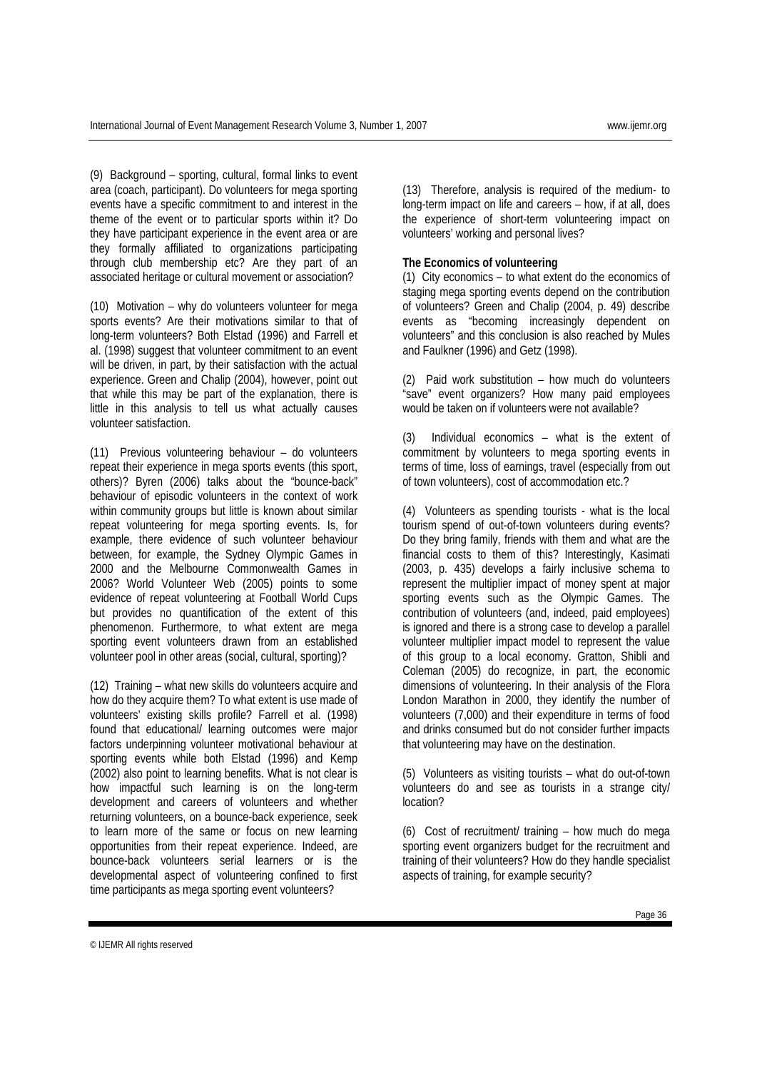(9) Background – sporting, cultural, formal links to event area (coach, participant). Do volunteers for mega sporting events have a specific commitment to and interest in the theme of the event or to particular sports within it? Do they have participant experience in the event area or are they formally affiliated to organizations participating through club membership etc? Are they part of an associated heritage or cultural movement or association?

(10) Motivation – why do volunteers volunteer for mega sports events? Are their motivations similar to that of long-term volunteers? Both Elstad (1996) and Farrell et al. (1998) suggest that volunteer commitment to an event will be driven, in part, by their satisfaction with the actual experience. Green and Chalip (2004), however, point out that while this may be part of the explanation, there is little in this analysis to tell us what actually causes volunteer satisfaction.

(11) Previous volunteering behaviour – do volunteers repeat their experience in mega sports events (this sport, others)? Byren (2006) talks about the "bounce-back" behaviour of episodic volunteers in the context of work within community groups but little is known about similar repeat volunteering for mega sporting events. Is, for example, there evidence of such volunteer behaviour between, for example, the Sydney Olympic Games in 2000 and the Melbourne Commonwealth Games in 2006? World Volunteer Web (2005) points to some evidence of repeat volunteering at Football World Cups but provides no quantification of the extent of this phenomenon. Furthermore, to what extent are mega sporting event volunteers drawn from an established volunteer pool in other areas (social, cultural, sporting)?

(12) Training – what new skills do volunteers acquire and how do they acquire them? To what extent is use made of volunteers' existing skills profile? Farrell et al. (1998) found that educational/ learning outcomes were major factors underpinning volunteer motivational behaviour at sporting events while both Elstad (1996) and Kemp (2002) also point to learning benefits. What is not clear is how impactful such learning is on the long-term development and careers of volunteers and whether returning volunteers, on a bounce-back experience, seek to learn more of the same or focus on new learning opportunities from their repeat experience. Indeed, are bounce-back volunteers serial learners or is the developmental aspect of volunteering confined to first time participants as mega sporting event volunteers?

(13) Therefore, analysis is required of the medium- to long-term impact on life and careers – how, if at all, does the experience of short-term volunteering impact on volunteers' working and personal lives?

#### **The Economics of volunteering**

(1) City economics – to what extent do the economics of staging mega sporting events depend on the contribution of volunteers? Green and Chalip (2004, p. 49) describe events as "becoming increasingly dependent on volunteers" and this conclusion is also reached by Mules and Faulkner (1996) and Getz (1998).

(2) Paid work substitution – how much do volunteers "save" event organizers? How many paid employees would be taken on if volunteers were not available?

(3) Individual economics – what is the extent of commitment by volunteers to mega sporting events in terms of time, loss of earnings, travel (especially from out of town volunteers), cost of accommodation etc.?

(4) Volunteers as spending tourists - what is the local tourism spend of out-of-town volunteers during events? Do they bring family, friends with them and what are the financial costs to them of this? Interestingly, Kasimati (2003, p. 435) develops a fairly inclusive schema to represent the multiplier impact of money spent at major sporting events such as the Olympic Games. The contribution of volunteers (and, indeed, paid employees) is ignored and there is a strong case to develop a parallel volunteer multiplier impact model to represent the value of this group to a local economy. Gratton, Shibli and Coleman (2005) do recognize, in part, the economic dimensions of volunteering. In their analysis of the Flora London Marathon in 2000, they identify the number of volunteers (7,000) and their expenditure in terms of food and drinks consumed but do not consider further impacts that volunteering may have on the destination.

(5) Volunteers as visiting tourists – what do out-of-town volunteers do and see as tourists in a strange city/ location?

(6) Cost of recruitment/ training – how much do mega sporting event organizers budget for the recruitment and training of their volunteers? How do they handle specialist aspects of training, for example security?

<sup>©</sup> IJEMR All rights reserved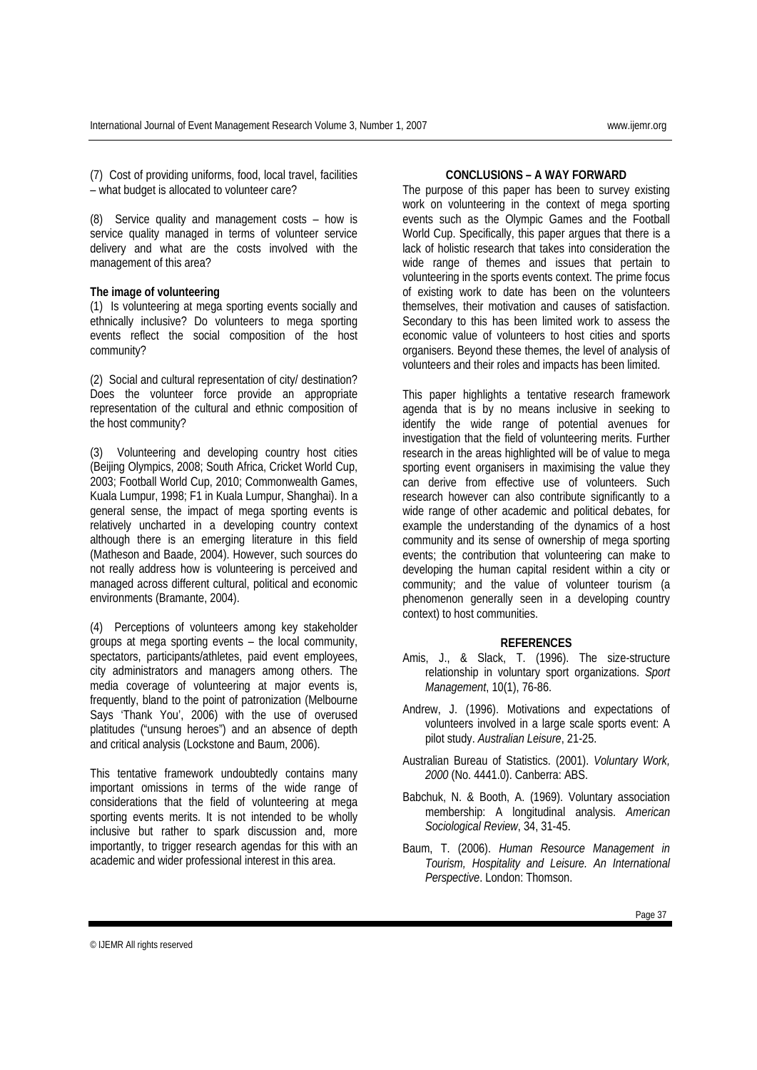(7) Cost of providing uniforms, food, local travel, facilities – what budget is allocated to volunteer care?

(8) Service quality and management costs – how is service quality managed in terms of volunteer service delivery and what are the costs involved with the management of this area?

#### **The image of volunteering**

(1) Is volunteering at mega sporting events socially and ethnically inclusive? Do volunteers to mega sporting events reflect the social composition of the host community?

(2) Social and cultural representation of city/ destination? Does the volunteer force provide an appropriate representation of the cultural and ethnic composition of the host community?

(3) Volunteering and developing country host cities (Beijing Olympics, 2008; South Africa, Cricket World Cup, 2003; Football World Cup, 2010; Commonwealth Games, Kuala Lumpur, 1998; F1 in Kuala Lumpur, Shanghai). In a general sense, the impact of mega sporting events is relatively uncharted in a developing country context although there is an emerging literature in this field (Matheson and Baade, 2004). However, such sources do not really address how is volunteering is perceived and managed across different cultural, political and economic environments (Bramante, 2004).

(4) Perceptions of volunteers among key stakeholder groups at mega sporting events – the local community, spectators, participants/athletes, paid event employees, city administrators and managers among others. The media coverage of volunteering at major events is, frequently, bland to the point of patronization (Melbourne Says 'Thank You', 2006) with the use of overused platitudes ("unsung heroes") and an absence of depth and critical analysis (Lockstone and Baum, 2006).

This tentative framework undoubtedly contains many important omissions in terms of the wide range of considerations that the field of volunteering at mega sporting events merits. It is not intended to be wholly inclusive but rather to spark discussion and, more importantly, to trigger research agendas for this with an academic and wider professional interest in this area.

#### **CONCLUSIONS – A WAY FORWARD**

The purpose of this paper has been to survey existing work on volunteering in the context of mega sporting events such as the Olympic Games and the Football World Cup. Specifically, this paper argues that there is a lack of holistic research that takes into consideration the wide range of themes and issues that pertain to volunteering in the sports events context. The prime focus of existing work to date has been on the volunteers themselves, their motivation and causes of satisfaction. Secondary to this has been limited work to assess the economic value of volunteers to host cities and sports organisers. Beyond these themes, the level of analysis of volunteers and their roles and impacts has been limited.

This paper highlights a tentative research framework agenda that is by no means inclusive in seeking to identify the wide range of potential avenues for investigation that the field of volunteering merits. Further research in the areas highlighted will be of value to mega sporting event organisers in maximising the value they can derive from effective use of volunteers. Such research however can also contribute significantly to a wide range of other academic and political debates, for example the understanding of the dynamics of a host community and its sense of ownership of mega sporting events; the contribution that volunteering can make to developing the human capital resident within a city or community; and the value of volunteer tourism (a phenomenon generally seen in a developing country context) to host communities.

#### **REFERENCES**

- Amis, J., & Slack, T. (1996). The size-structure relationship in voluntary sport organizations. *Sport Management*, 10(1), 76-86.
- Andrew, J. (1996). Motivations and expectations of volunteers involved in a large scale sports event: A pilot study. *Australian Leisure*, 21-25.
- Australian Bureau of Statistics. (2001). *Voluntary Work, 2000* (No. 4441.0). Canberra: ABS.
- Babchuk, N. & Booth, A. (1969). Voluntary association membership: A longitudinal analysis. *American Sociological Review*, 34, 31-45.
- Baum, T. (2006). *Human Resource Management in Tourism, Hospitality and Leisure. An International Perspective*. London: Thomson.

© IJEMR All rights reserved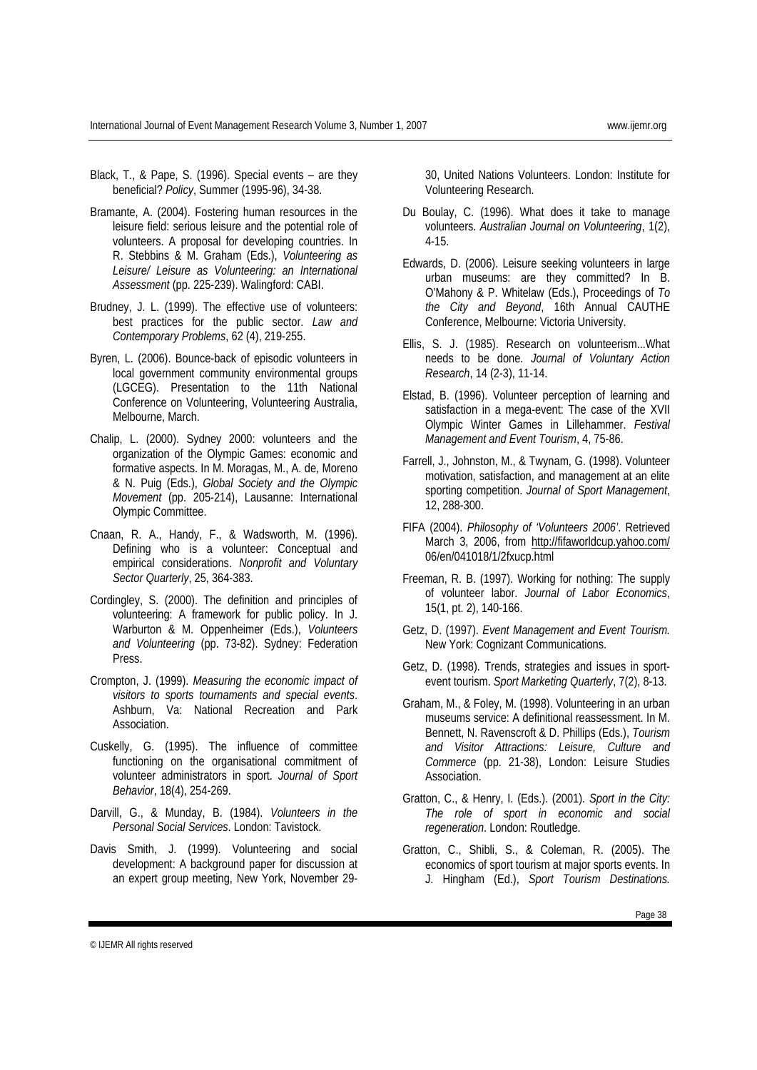- Black, T., & Pape, S. (1996). Special events are they beneficial? *Policy*, Summer (1995-96), 34-38.
- Bramante, A. (2004). Fostering human resources in the leisure field: serious leisure and the potential role of volunteers. A proposal for developing countries. In R. Stebbins & M. Graham (Eds.), *Volunteering as Leisure/ Leisure as Volunteering: an International Assessment* (pp. 225-239). Walingford: CABI.
- Brudney, J. L. (1999). The effective use of volunteers: best practices for the public sector. *Law and Contemporary Problems*, 62 (4), 219-255.
- Byren, L. (2006). Bounce-back of episodic volunteers in local government community environmental groups (LGCEG). Presentation to the 11th National Conference on Volunteering, Volunteering Australia, Melbourne, March.
- Chalip, L. (2000). Sydney 2000: volunteers and the organization of the Olympic Games: economic and formative aspects. In M. Moragas, M., A. de, Moreno & N. Puig (Eds.), *Global Society and the Olympic Movement* (pp. 205-214), Lausanne: International Olympic Committee.
- Cnaan, R. A., Handy, F., & Wadsworth, M. (1996). Defining who is a volunteer: Conceptual and empirical considerations. *Nonprofit and Voluntary Sector Quarterly*, 25, 364-383.
- Cordingley, S. (2000). The definition and principles of volunteering: A framework for public policy. In J. Warburton & M. Oppenheimer (Eds.), *Volunteers and Volunteering* (pp. 73-82). Sydney: Federation Press.
- Crompton, J. (1999). *Measuring the economic impact of visitors to sports tournaments and special events*. Ashburn, Va: National Recreation and Park Association.
- Cuskelly, G. (1995). The influence of committee functioning on the organisational commitment of volunteer administrators in sport. *Journal of Sport Behavior*, 18(4), 254-269.
- Darvill, G., & Munday, B. (1984). *Volunteers in the Personal Social Services*. London: Tavistock.
- Davis Smith, J. (1999). Volunteering and social development: A background paper for discussion at an expert group meeting, New York, November 29-

30, United Nations Volunteers. London: Institute for Volunteering Research.

- Du Boulay, C. (1996). What does it take to manage volunteers. *Australian Journal on Volunteering*, 1(2), 4-15.
- Edwards, D. (2006). Leisure seeking volunteers in large urban museums: are they committed? In B. O'Mahony & P. Whitelaw (Eds.), Proceedings of *To the City and Beyond*, 16th Annual CAUTHE Conference, Melbourne: Victoria University.
- Ellis, S. J. (1985). Research on volunteerism...What needs to be done. *Journal of Voluntary Action Research*, 14 (2-3), 11-14.
- Elstad, B. (1996). Volunteer perception of learning and satisfaction in a mega-event: The case of the XVII Olympic Winter Games in Lillehammer. *Festival Management and Event Tourism*, 4, 75-86.
- Farrell, J., Johnston, M., & Twynam, G. (1998). Volunteer motivation, satisfaction, and management at an elite sporting competition. *Journal of Sport Management*, 12, 288-300.
- FIFA (2004). *Philosophy of 'Volunteers 2006'*. Retrieved March 3, 2006, from http://fifaworldcup.yahoo.com/ 06/en/041018/1/2fxucp.html
- Freeman, R. B. (1997). Working for nothing: The supply of volunteer labor. *Journal of Labor Economics*, 15(1, pt. 2), 140-166.
- Getz, D. (1997). *Event Management and Event Tourism.* New York: Cognizant Communications.
- Getz, D. (1998). Trends, strategies and issues in sportevent tourism. *Sport Marketing Quarterly*, 7(2), 8-13.
- Graham, M., & Foley, M. (1998). Volunteering in an urban museums service: A definitional reassessment. In M. Bennett, N. Ravenscroft & D. Phillips (Eds.), *Tourism and Visitor Attractions: Leisure, Culture and Commerce* (pp. 21-38), London: Leisure Studies Association.
- Gratton, C., & Henry, I. (Eds.). (2001). *Sport in the City: The role of sport in economic and social regeneration*. London: Routledge.
- Gratton, C., Shibli, S., & Coleman, R. (2005). The economics of sport tourism at major sports events. In J. Hingham (Ed.), *Sport Tourism Destinations.*

© IJEMR All rights reserved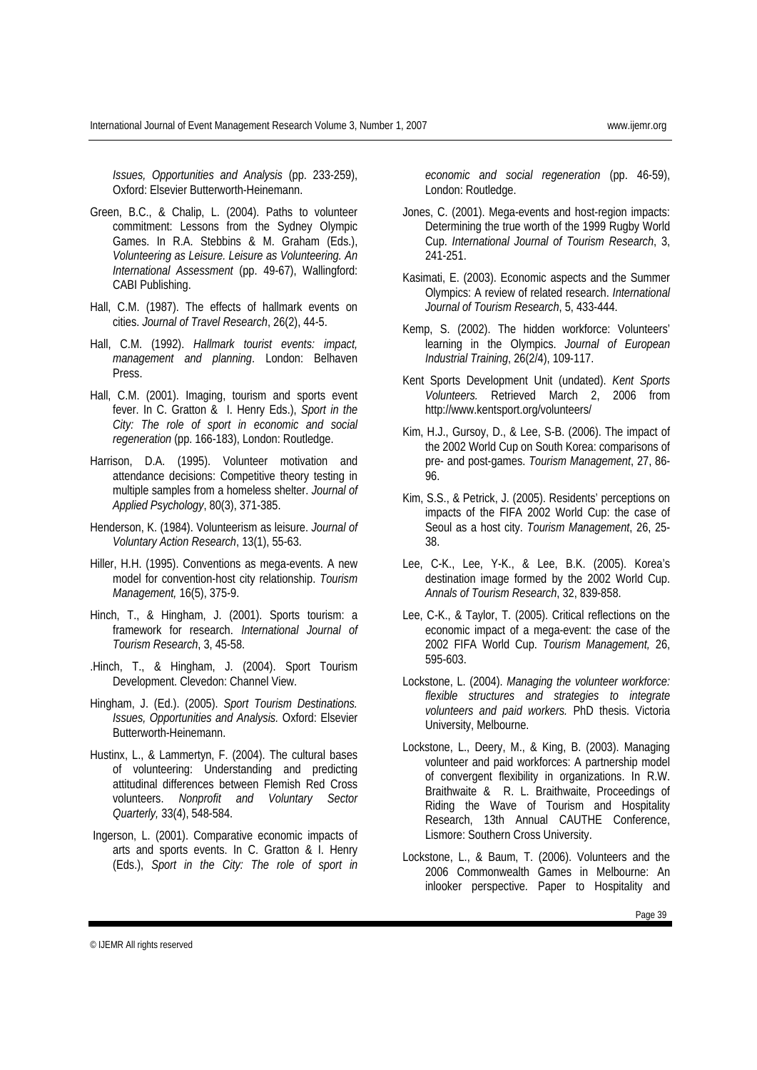*Issues, Opportunities and Analysis* (pp. 233-259), Oxford: Elsevier Butterworth-Heinemann.

- Green, B.C., & Chalip, L. (2004). Paths to volunteer commitment: Lessons from the Sydney Olympic Games. In R.A. Stebbins & M. Graham (Eds.), *Volunteering as Leisure. Leisure as Volunteering. An International Assessment* (pp. 49-67), Wallingford: CABI Publishing.
- Hall, C.M. (1987). The effects of hallmark events on cities. *Journal of Travel Research*, 26(2), 44-5.
- Hall, C.M. (1992). *Hallmark tourist events: impact, management and planning*. London: Belhaven Press.
- Hall, C.M. (2001). Imaging, tourism and sports event fever. In C. Gratton & I. Henry Eds.), *Sport in the City: The role of sport in economic and social regeneration* (pp. 166-183), London: Routledge.
- Harrison, D.A. (1995). Volunteer motivation and attendance decisions: Competitive theory testing in multiple samples from a homeless shelter. *Journal of Applied Psychology*, 80(3), 371-385.
- Henderson, K. (1984). Volunteerism as leisure. *Journal of Voluntary Action Research*, 13(1), 55-63.
- Hiller, H.H. (1995). Conventions as mega-events. A new model for convention-host city relationship. *Tourism Management,* 16(5), 375-9.
- Hinch, T., & Hingham, J. (2001). Sports tourism: a framework for research. *International Journal of Tourism Research*, 3, 45-58.
- .Hinch, T., & Hingham, J. (2004). Sport Tourism Development. Clevedon: Channel View.
- Hingham, J. (Ed.). (2005). *Sport Tourism Destinations. Issues, Opportunities and Analysis.* Oxford: Elsevier Butterworth-Heinemann.
- Hustinx, L., & Lammertyn, F. (2004). The cultural bases of volunteering: Understanding and predicting attitudinal differences between Flemish Red Cross volunteers. *Nonprofit and Voluntary Sector Quarterly,* 33(4), 548-584.
- Ingerson, L. (2001). Comparative economic impacts of arts and sports events. In C. Gratton & I. Henry (Eds.), *Sport in the City: The role of sport in*

*economic and social regeneration* (pp. 46-59), London: Routledge.

- Jones, C. (2001). Mega-events and host-region impacts: Determining the true worth of the 1999 Rugby World Cup. *International Journal of Tourism Research*, 3, 241-251.
- Kasimati, E. (2003). Economic aspects and the Summer Olympics: A review of related research. *International Journal of Tourism Research*, 5, 433-444.
- Kemp, S. (2002). The hidden workforce: Volunteers' learning in the Olympics. *Journal of European Industrial Training*, 26(2/4), 109-117.
- Kent Sports Development Unit (undated). *Kent Sports Volunteers.* Retrieved March 2, 2006 from http://www.kentsport.org/volunteers/
- Kim, H.J., Gursoy, D., & Lee, S-B. (2006). The impact of the 2002 World Cup on South Korea: comparisons of pre- and post-games. *Tourism Management*, 27, 86- 96.
- Kim, S.S., & Petrick, J. (2005). Residents' perceptions on impacts of the FIFA 2002 World Cup: the case of Seoul as a host city. *Tourism Management*, 26, 25- 38.
- Lee, C-K., Lee, Y-K., & Lee, B.K. (2005). Korea's destination image formed by the 2002 World Cup. *Annals of Tourism Research*, 32, 839-858.
- Lee, C-K., & Taylor, T. (2005). Critical reflections on the economic impact of a mega-event: the case of the 2002 FIFA World Cup. *Tourism Management,* 26, 595-603.
- Lockstone, L. (2004). *Managing the volunteer workforce: flexible structures and strategies to integrate volunteers and paid workers.* PhD thesis. Victoria University, Melbourne.
- Lockstone, L., Deery, M., & King, B. (2003). Managing volunteer and paid workforces: A partnership model of convergent flexibility in organizations. In R.W. Braithwaite & R. L. Braithwaite, Proceedings of Riding the Wave of Tourism and Hospitality Research, 13th Annual CAUTHE Conference, Lismore: Southern Cross University.
- Lockstone, L., & Baum, T. (2006). Volunteers and the 2006 Commonwealth Games in Melbourne: An inlooker perspective. Paper to Hospitality and

© IJEMR All rights reserved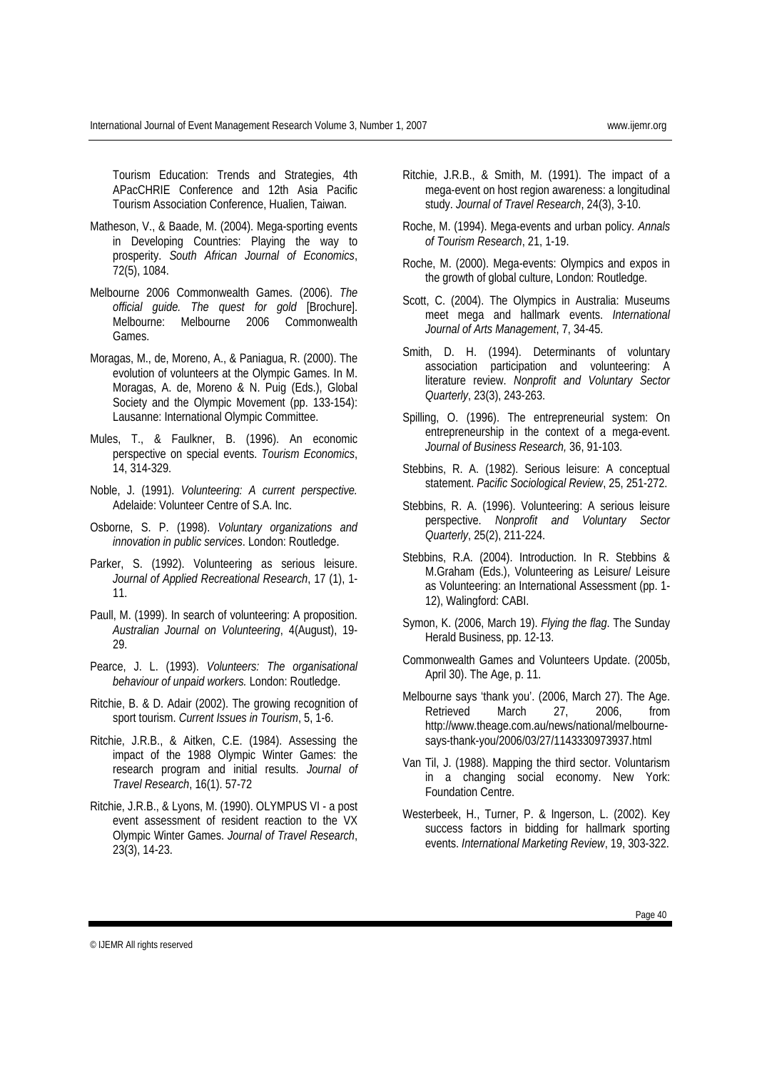Tourism Education: Trends and Strategies, 4th APacCHRIE Conference and 12th Asia Pacific Tourism Association Conference, Hualien, Taiwan.

- Matheson, V., & Baade, M. (2004). Mega-sporting events in Developing Countries: Playing the way to prosperity. *South African Journal of Economics*, 72(5), 1084.
- Melbourne 2006 Commonwealth Games. (2006). *The official guide. The quest for gold* [Brochure]. Melbourne: Melbourne 2006 Commonwealth Games.
- Moragas, M., de, Moreno, A., & Paniagua, R. (2000). The evolution of volunteers at the Olympic Games. In M. Moragas, A. de, Moreno & N. Puig (Eds.), Global Society and the Olympic Movement (pp. 133-154): Lausanne: International Olympic Committee.
- Mules, T., & Faulkner, B. (1996). An economic perspective on special events. *Tourism Economics*, 14, 314-329.
- Noble, J. (1991). *Volunteering: A current perspective.* Adelaide: Volunteer Centre of S.A. Inc.
- Osborne, S. P. (1998). *Voluntary organizations and innovation in public services*. London: Routledge.
- Parker, S. (1992). Volunteering as serious leisure. *Journal of Applied Recreational Research*, 17 (1), 1- 11.
- Paull, M. (1999). In search of volunteering: A proposition. *Australian Journal on Volunteering*, 4(August), 19- 29.
- Pearce, J. L. (1993). *Volunteers: The organisational behaviour of unpaid workers.* London: Routledge.
- Ritchie, B. & D. Adair (2002). The growing recognition of sport tourism. *Current Issues in Tourism*, 5, 1-6.
- Ritchie, J.R.B., & Aitken, C.E. (1984). Assessing the impact of the 1988 Olympic Winter Games: the research program and initial results. *Journal of Travel Research*, 16(1). 57-72
- Ritchie, J.R.B., & Lyons, M. (1990). OLYMPUS VI a post event assessment of resident reaction to the VX Olympic Winter Games. *Journal of Travel Research*, 23(3), 14-23.
- Ritchie, J.R.B., & Smith, M. (1991). The impact of a mega-event on host region awareness: a longitudinal study. *Journal of Travel Research*, 24(3), 3-10.
- Roche, M. (1994). Mega-events and urban policy*. Annals of Tourism Research*, 21, 1-19.
- Roche, M. (2000). Mega-events: Olympics and expos in the growth of global culture, London: Routledge.
- Scott, C. (2004). The Olympics in Australia: Museums meet mega and hallmark events. *International Journal of Arts Management*, 7, 34-45.
- Smith, D. H. (1994). Determinants of voluntary association participation and volunteering: A literature review. *Nonprofit and Voluntary Sector Quarterly*, 23(3), 243-263.
- Spilling, O. (1996). The entrepreneurial system: On entrepreneurship in the context of a mega-event. *Journal of Business Research,* 36, 91-103.
- Stebbins, R. A. (1982). Serious leisure: A conceptual statement. *Pacific Sociological Review*, 25, 251-272.
- Stebbins, R. A. (1996). Volunteering: A serious leisure perspective. *Nonprofit and Voluntary Sector Quarterly*, 25(2), 211-224.
- Stebbins, R.A. (2004). Introduction. In R. Stebbins & M.Graham (Eds.), Volunteering as Leisure/ Leisure as Volunteering: an International Assessment (pp. 1- 12), Walingford: CABI.
- Symon, K. (2006, March 19). *Flying the flag*. The Sunday Herald Business, pp. 12-13.
- Commonwealth Games and Volunteers Update. (2005b, April 30). The Age, p. 11.
- Melbourne says 'thank you'. (2006, March 27). The Age. Retrieved March 27, 2006, from http://www.theage.com.au/news/national/melbournesays-thank-you/2006/03/27/1143330973937.html
- Van Til, J. (1988). Mapping the third sector. Voluntarism in a changing social economy. New York: Foundation Centre.
- Westerbeek, H., Turner, P. & Ingerson, L. (2002). Key success factors in bidding for hallmark sporting events. *International Marketing Review*, 19, 303-322.

© IJEMR All rights reserved